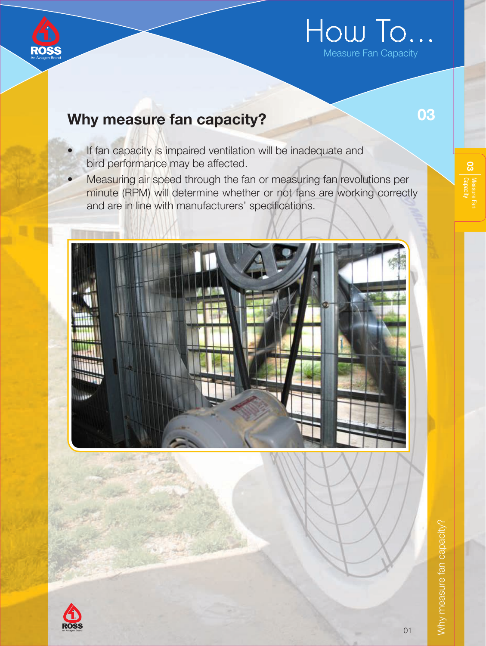

# How To...

# Why measure fan capacity?

- If fan capacity is impaired ventilation will be inadequate and bird performance may be affected.
- Measuring air speed through the fan or measuring fan revolutions per minute (RPM) will determine whether or not fans are working correctly and are in line with manufacturers' specifications.





 $\alpha$  | Measure Fan  $\alpha$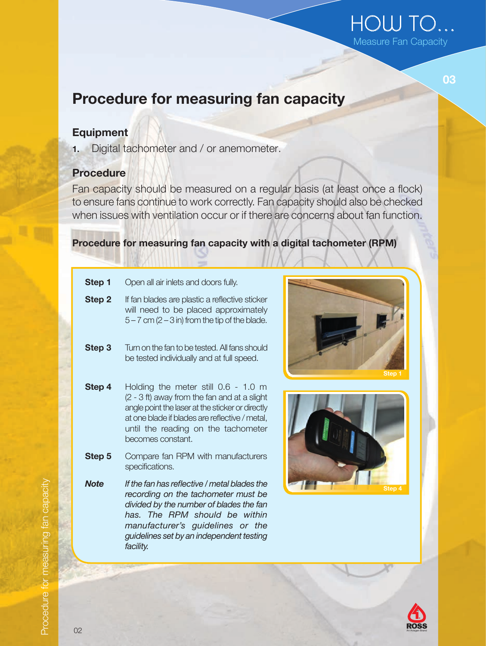## HOW TO... Measure Fan Capacity

03

# Procedure for measuring fan capacity

#### **Equipment**

1. Digital tachometer and / or anemometer.

#### Procedure

Fan capacity should be measured on a regular basis (at least once a flock) to ensure fans continue to work correctly. Fan capacity should also be checked when issues with ventilation occur or if there are concerns about fan function.

#### Procedure for measuring fan capacity with a digital tachometer (RPM)

| Step 1 | Open all air inlets and doors fully.                                                                                                          |
|--------|-----------------------------------------------------------------------------------------------------------------------------------------------|
| Step 2 | If fan blades are plastic a reflective sticker<br>will need to be placed approximately<br>$5 - 7$ cm ( $2 - 3$ in) from the tip of the blade. |

- **Step 3** Turn on the fan to be tested. All fans should be tested individually and at full speed.
- Step 4 Holding the meter still 0.6 1.0 m (2 - 3 ft) away from the fan and at a slight angle point the laser at the sticker or directly at one blade if blades are reflective / metal, until the reading on the tachometer becomes constant.
- Step 5 Compare fan RPM with manufacturers specifications.
- Note If the fan has reflective / metal blades the recording on the tachometer must be divided by the number of blades the fan has. The RPM should be within manufacturer's guidelines or the guidelines set by an independent testing facility.







Procedure for measuring fan capacity Procedure for measuring fan capacity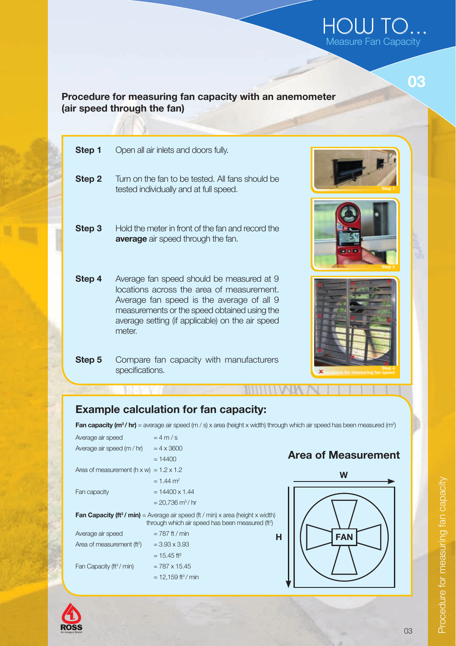## HOW TO... Measure Fan Capacity

03

#### Procedure for measuring fan capacity with an anemometer (air speed through the fan)

| Step 1 | Open all air inlets and doors fully.                                                                                                                                                                                                              |
|--------|---------------------------------------------------------------------------------------------------------------------------------------------------------------------------------------------------------------------------------------------------|
| Step 2 | Turn on the fan to be tested. All fans should be<br>tested individually and at full speed.                                                                                                                                                        |
| Step 3 | Hold the meter in front of the fan and record the<br><b>average</b> air speed through the fan.                                                                                                                                                    |
| Step 4 | Average fan speed should be measured at 9<br>locations across the area of measurement.<br>Average fan speed is the average of all 9<br>measurements or the speed obtained using the<br>average setting (if applicable) on the air speed<br>meter. |

**Step 5** Compare fan capacity with manufacturers specifications.







## Example calculation for fan capacity:

Fan capacity (m<sup>3</sup>/hr) = average air speed (m / s) x area (height x width) through which air speed has been measured (m<sup>2</sup>)

| Average air speed                                                                                                                                                | $=4$ m/s                         |  |  |  |  |
|------------------------------------------------------------------------------------------------------------------------------------------------------------------|----------------------------------|--|--|--|--|
| Average air speed (m / hr)                                                                                                                                       | $= 4 \times 3600$                |  |  |  |  |
|                                                                                                                                                                  | $= 14400$                        |  |  |  |  |
| Area of measurement $(h \times w) = 1.2 \times 1.2$                                                                                                              |                                  |  |  |  |  |
|                                                                                                                                                                  | $= 1.44$ m <sup>2</sup>          |  |  |  |  |
| Fan capacity                                                                                                                                                     | $= 14400 \times 1.44$            |  |  |  |  |
|                                                                                                                                                                  | $= 20.736$ m <sup>3</sup> /hr    |  |  |  |  |
| <b>Fan Capacity (ft<sup>3</sup>/ min)</b> = Average air speed (ft / min) x area (height x width)<br>through which air speed has been measured (ft <sup>2</sup> ) |                                  |  |  |  |  |
| Average air speed                                                                                                                                                | $= 787$ ft / min                 |  |  |  |  |
| Area of measurement (ft <sup>2</sup> )                                                                                                                           | $= 3.93 \times 3.93$             |  |  |  |  |
|                                                                                                                                                                  | $= 15.45$ ft <sup>2</sup>        |  |  |  |  |
| Fan Capacity (ft <sup>3</sup> / min)                                                                                                                             | $= 787 \times 15.45$             |  |  |  |  |
|                                                                                                                                                                  | $= 12.159$ ft <sup>3</sup> / min |  |  |  |  |

## Area of Measurement